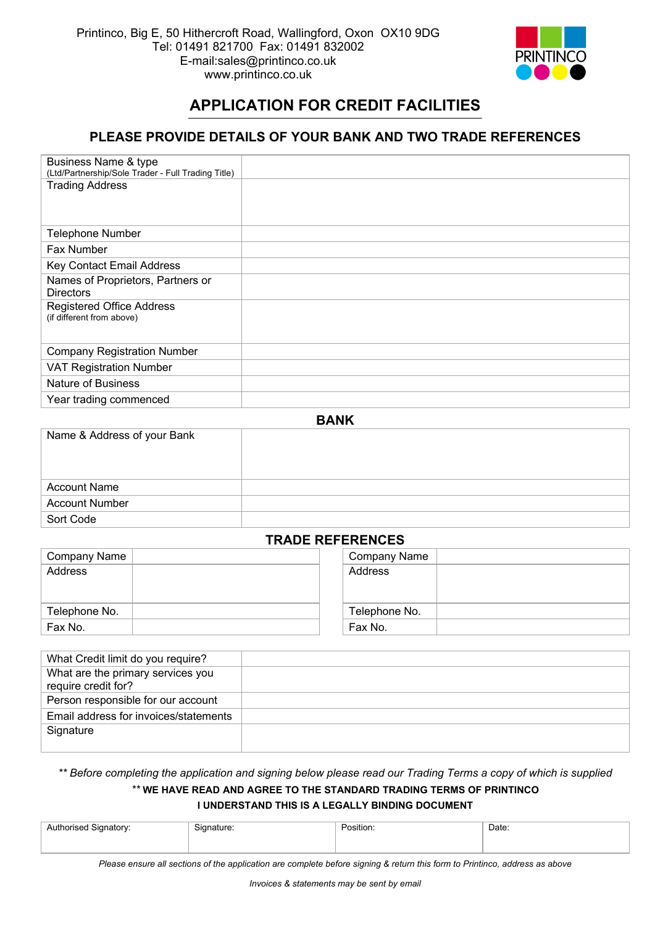

# **APPLICATION FOR CREDIT FACILITIES**

## **PLEASE PROVIDE DETAILS OF YOUR BANK AND TWO TRADE REFERENCES**

| Business Name & type                               |  |
|----------------------------------------------------|--|
| (Ltd/Partnership/Sole Trader - Full Trading Title) |  |
| <b>Trading Address</b>                             |  |
| <b>Telephone Number</b>                            |  |
| Fax Number                                         |  |
| Key Contact Email Address                          |  |
| Names of Proprietors, Partners or                  |  |
| <b>Directors</b>                                   |  |
| <b>Registered Office Address</b>                   |  |
| (if different from above)                          |  |
|                                                    |  |
| <b>Company Registration Number</b>                 |  |
| <b>VAT Registration Number</b>                     |  |
| <b>Nature of Business</b>                          |  |
| Year trading commenced                             |  |

| ------                      |  |  |  |  |
|-----------------------------|--|--|--|--|
| Name & Address of your Bank |  |  |  |  |
|                             |  |  |  |  |
|                             |  |  |  |  |
| <b>Account Name</b>         |  |  |  |  |
| <b>Account Number</b>       |  |  |  |  |
| Sort Code                   |  |  |  |  |

**BANK** 

### **TRADE REFERENCES**

| Company Name  | Company Name  |  |  |  |
|---------------|---------------|--|--|--|
| Address       | Address       |  |  |  |
|               |               |  |  |  |
|               |               |  |  |  |
| Telephone No. | Telephone No. |  |  |  |
| Fax No.       | Fax No.       |  |  |  |

| What Credit limit do you require?                        |  |
|----------------------------------------------------------|--|
| What are the primary services you<br>require credit for? |  |
| Person responsible for our account                       |  |
| Email address for invoices/statements                    |  |
| Signature                                                |  |
|                                                          |  |

*\*\* Before completing the application and signing below please read our Trading Terms a copy of which is supplied* 

### *\*\** **WE HAVE READ AND AGREE TO THE STANDARD TRADING TERMS OF PRINTINCO I UNDERSTAND THIS IS A LEGALLY BINDING DOCUMENT**

| Authorised Signatory: | $\sim$<br>signature: | Position: | Date: |
|-----------------------|----------------------|-----------|-------|
|                       |                      |           |       |

*Please ensure all sections of the application are complete before signing & return this form to Printinco, address as above*